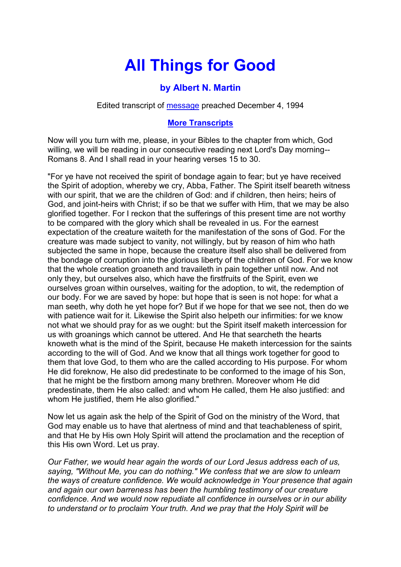## **All Things for Good**

## **by Albert N. Martin**

Edited transcript of [message](https://www.sg-audiotreasures.org/triedproven/09am_triedproven.mp3) preached December 4, 1994

## **[More Transcripts](https://www.sg-audiotreasures.org/amtranscripts/am.htm)**

Now will you turn with me, please, in your Bibles to the chapter from which, God willing, we will be reading in our consecutive reading next Lord's Day morning-- Romans 8. And I shall read in your hearing verses 15 to 30.

"For ye have not received the spirit of bondage again to fear; but ye have received the Spirit of adoption, whereby we cry, Abba, Father. The Spirit itself beareth witness with our spirit, that we are the children of God: and if children, then heirs; heirs of God, and joint-heirs with Christ; if so be that we suffer with Him, that we may be also glorified together. For I reckon that the sufferings of this present time are not worthy to be compared with the glory which shall be revealed in us. For the earnest expectation of the creature waiteth for the manifestation of the sons of God. For the creature was made subject to vanity, not willingly, but by reason of him who hath subjected the same in hope, because the creature itself also shall be delivered from the bondage of corruption into the glorious liberty of the children of God. For we know that the whole creation groaneth and travaileth in pain together until now. And not only they, but ourselves also, which have the firstfruits of the Spirit, even we ourselves groan within ourselves, waiting for the adoption, to wit, the redemption of our body. For we are saved by hope: but hope that is seen is not hope: for what a man seeth, why doth he yet hope for? But if we hope for that we see not, then do we with patience wait for it. Likewise the Spirit also helpeth our infirmities: for we know not what we should pray for as we ought: but the Spirit itself maketh intercession for us with groanings which cannot be uttered. And He that searcheth the hearts knoweth what is the mind of the Spirit, because He maketh intercession for the saints according to the will of God. And we know that all things work together for good to them that love God, to them who are the called according to His purpose. For whom He did foreknow, He also did predestinate to be conformed to the image of his Son, that he might be the firstborn among many brethren. Moreover whom He did predestinate, them He also called: and whom He called, them He also justified: and whom He justified, them He also glorified."

Now let us again ask the help of the Spirit of God on the ministry of the Word, that God may enable us to have that alertness of mind and that teachableness of spirit, and that He by His own Holy Spirit will attend the proclamation and the reception of this His own Word. Let us pray.

*Our Father, we would hear again the words of our Lord Jesus address each of us, saying, "Without Me, you can do nothing." We confess that we are slow to unlearn the ways of creature confidence. We would acknowledge in Your presence that again and again our own barreness has been the humbling testimony of our creature confidence. And we would now repudiate all confidence in ourselves or in our ability to understand or to proclaim Your truth. And we pray that the Holy Spirit will be*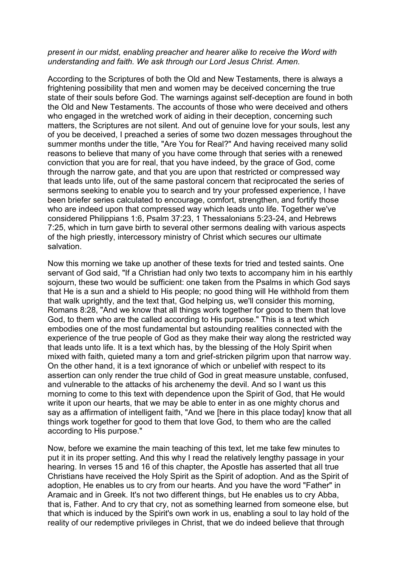## *present in our midst, enabling preacher and hearer alike to receive the Word with understanding and faith. We ask through our Lord Jesus Christ. Amen.*

According to the Scriptures of both the Old and New Testaments, there is always a frightening possibility that men and women may be deceived concerning the true state of their souls before God. The warnings against self-deception are found in both the Old and New Testaments. The accounts of those who were deceived and others who engaged in the wretched work of aiding in their deception, concerning such matters, the Scriptures are not silent. And out of genuine love for your souls, lest any of you be deceived, I preached a series of some two dozen messages throughout the summer months under the title, "Are You for Real?" And having received many solid reasons to believe that many of you have come through that series with a renewed conviction that you are for real, that you have indeed, by the grace of God, come through the narrow gate, and that you are upon that restricted or compressed way that leads unto life, out of the same pastoral concern that reciprocated the series of sermons seeking to enable you to search and try your professed experience, I have been briefer series calculated to encourage, comfort, strengthen, and fortify those who are indeed upon that compressed way which leads unto life. Together we've considered Philippians 1:6, Psalm 37:23, 1 Thessalonians 5:23-24, and Hebrews 7:25, which in turn gave birth to several other sermons dealing with various aspects of the high priestly, intercessory ministry of Christ which secures our ultimate salvation.

Now this morning we take up another of these texts for tried and tested saints. One servant of God said, "If a Christian had only two texts to accompany him in his earthly sojourn, these two would be sufficient: one taken from the Psalms in which God says that He is a sun and a shield to His people; no good thing will He withhold from them that walk uprightly, and the text that, God helping us, we'll consider this morning, Romans 8:28, "And we know that all things work together for good to them that love God, to them who are the called according to His purpose." This is a text which embodies one of the most fundamental but astounding realities connected with the experience of the true people of God as they make their way along the restricted way that leads unto life. It is a text which has, by the blessing of the Holy Spirit when mixed with faith, quieted many a torn and grief-stricken pilgrim upon that narrow way. On the other hand, it is a text ignorance of which or unbelief with respect to its assertion can only render the true child of God in great measure unstable, confused, and vulnerable to the attacks of his archenemy the devil. And so I want us this morning to come to this text with dependence upon the Spirit of God, that He would write it upon our hearts, that we may be able to enter in as one mighty chorus and say as a affirmation of intelligent faith, "And we [here in this place today] know that all things work together for good to them that love God, to them who are the called according to His purpose."

Now, before we examine the main teaching of this text, let me take few minutes to put it in its proper setting. And this why I read the relatively lengthy passage in your hearing. In verses 15 and 16 of this chapter, the Apostle has asserted that all true Christians have received the Holy Spirit as the Spirit of adoption. And as the Spirit of adoption, He enables us to cry from our hearts. And you have the word "Father" in Aramaic and in Greek. It's not two different things, but He enables us to cry Abba, that is, Father. And to cry that cry, not as something learned from someone else, but that which is induced by the Spirit's own work in us, enabling a soul to lay hold of the reality of our redemptive privileges in Christ, that we do indeed believe that through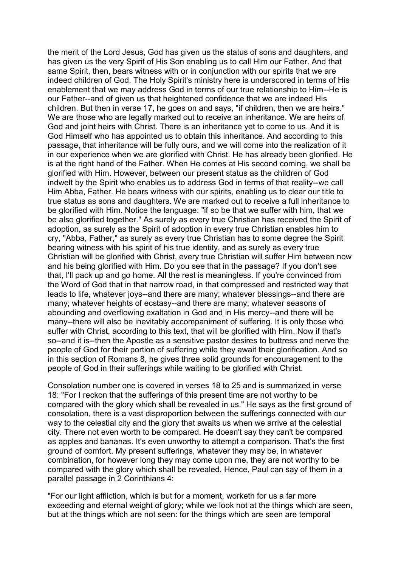the merit of the Lord Jesus, God has given us the status of sons and daughters, and has given us the very Spirit of His Son enabling us to call Him our Father. And that same Spirit, then, bears witness with or in conjunction with our spirits that we are indeed children of God. The Holy Spirit's ministry here is underscored in terms of His enablement that we may address God in terms of our true relationship to Him--He is our Father--and of given us that heightened confidence that we are indeed His children. But then in verse 17, he goes on and says, "if children, then we are heirs." We are those who are legally marked out to receive an inheritance. We are heirs of God and joint heirs with Christ. There is an inheritance yet to come to us. And it is God Himself who has appointed us to obtain this inheritance. And according to this passage, that inheritance will be fully ours, and we will come into the realization of it in our experience when we are glorified with Christ. He has already been glorified. He is at the right hand of the Father. When He comes at His second coming, we shall be glorified with Him. However, between our present status as the children of God indwelt by the Spirit who enables us to address God in terms of that reality--we call Him Abba, Father. He bears witness with our spirits, enabling us to clear our title to true status as sons and daughters. We are marked out to receive a full inheritance to be glorified with Him. Notice the language: "if so be that we suffer with him, that we be also glorified together." As surely as every true Christian has received the Spirit of adoption, as surely as the Spirit of adoption in every true Christian enables him to cry, "Abba, Father," as surely as every true Christian has to some degree the Spirit bearing witness with his spirit of his true identity, and as surely as every true Christian will be glorified with Christ, every true Christian will suffer Him between now and his being glorified with Him. Do you see that in the passage? If you don't see that, I'll pack up and go home. All the rest is meaningless. If you're convinced from the Word of God that in that narrow road, in that compressed and restricted way that leads to life, whatever joys--and there are many; whatever blessings--and there are many; whatever heights of ecstasy--and there are many; whatever seasons of abounding and overflowing exaltation in God and in His mercy--and there will be many--there will also be inevitably accompaniment of suffering. It is only those who suffer with Christ, according to this text, that will be glorified with Him. Now if that's so--and it is--then the Apostle as a sensitive pastor desires to buttress and nerve the people of God for their portion of suffering while they await their glorification. And so in this section of Romans 8, he gives three solid grounds for encouragement to the people of God in their sufferings while waiting to be glorified with Christ.

Consolation number one is covered in verses 18 to 25 and is summarized in verse 18: "For I reckon that the sufferings of this present time are not worthy to be compared with the glory which shall be revealed in us." He says as the first ground of consolation, there is a vast disproportion between the sufferings connected with our way to the celestial city and the glory that awaits us when we arrive at the celestial city. There not even worth to be compared. He doesn't say they can't be compared as apples and bananas. It's even unworthy to attempt a comparison. That's the first ground of comfort. My present sufferings, whatever they may be, in whatever combination, for however long they may come upon me, they are not worthy to be compared with the glory which shall be revealed. Hence, Paul can say of them in a parallel passage in 2 Corinthians 4:

"For our light affliction, which is but for a moment, worketh for us a far more exceeding and eternal weight of glory; while we look not at the things which are seen. but at the things which are not seen: for the things which are seen are temporal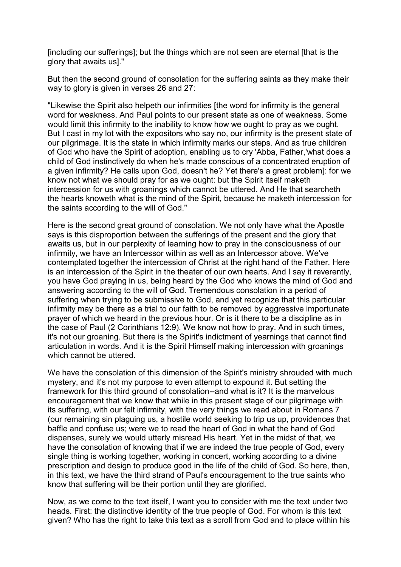[including our sufferings]; but the things which are not seen are eternal [that is the glory that awaits us]."

But then the second ground of consolation for the suffering saints as they make their way to glory is given in verses 26 and 27:

"Likewise the Spirit also helpeth our infirmities [the word for infirmity is the general word for weakness. And Paul points to our present state as one of weakness. Some would limit this infirmity to the inability to know how we ought to pray as we ought. But I cast in my lot with the expositors who say no, our infirmity is the present state of our pilgrimage. It is the state in which infirmity marks our steps. And as true children of God who have the Spirit of adoption, enabling us to cry 'Abba, Father,'what does a child of God instinctively do when he's made conscious of a concentrated eruption of a given infirmity? He calls upon God, doesn't he? Yet there's a great problem]: for we know not what we should pray for as we ought: but the Spirit itself maketh intercession for us with groanings which cannot be uttered. And He that searcheth the hearts knoweth what is the mind of the Spirit, because he maketh intercession for the saints according to the will of God."

Here is the second great ground of consolation. We not only have what the Apostle says is this disproportion between the sufferings of the present and the glory that awaits us, but in our perplexity of learning how to pray in the consciousness of our infirmity, we have an Intercessor within as well as an Intercessor above. We've contemplated together the intercession of Christ at the right hand of the Father. Here is an intercession of the Spirit in the theater of our own hearts. And I say it reverently, you have God praying in us, being heard by the God who knows the mind of God and answering according to the will of God. Tremendous consolation in a period of suffering when trying to be submissive to God, and yet recognize that this particular infirmity may be there as a trial to our faith to be removed by aggressive importunate prayer of which we heard in the previous hour. Or is it there to be a discipline as in the case of Paul (2 Corinthians 12:9). We know not how to pray. And in such times, it's not our groaning. But there is the Spirit's indictment of yearnings that cannot find articulation in words. And it is the Spirit Himself making intercession with groanings which cannot be uttered.

We have the consolation of this dimension of the Spirit's ministry shrouded with much mystery, and it's not my purpose to even attempt to expound it. But setting the framework for this third ground of consolation--and what is it? It is the marvelous encouragement that we know that while in this present stage of our pilgrimage with its suffering, with our felt infirmity, with the very things we read about in Romans 7 (our remaining sin plaguing us, a hostile world seeking to trip us up, providences that baffle and confuse us; were we to read the heart of God in what the hand of God dispenses, surely we would utterly misread His heart. Yet in the midst of that, we have the consolation of knowing that if we are indeed the true people of God, every single thing is working together, working in concert, working according to a divine prescription and design to produce good in the life of the child of God. So here, then, in this text, we have the third strand of Paul's encouragement to the true saints who know that suffering will be their portion until they are glorified.

Now, as we come to the text itself, I want you to consider with me the text under two heads. First: the distinctive identity of the true people of God. For whom is this text given? Who has the right to take this text as a scroll from God and to place within his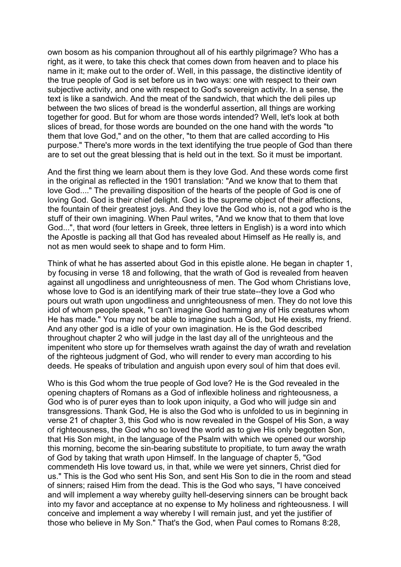own bosom as his companion throughout all of his earthly pilgrimage? Who has a right, as it were, to take this check that comes down from heaven and to place his name in it; make out to the order of. Well, in this passage, the distinctive identity of the true people of God is set before us in two ways: one with respect to their own subjective activity, and one with respect to God's sovereign activity. In a sense, the text is like a sandwich. And the meat of the sandwich, that which the deli piles up between the two slices of bread is the wonderful assertion, all things are working together for good. But for whom are those words intended? Well, let's look at both slices of bread, for those words are bounded on the one hand with the words "to them that love God," and on the other, "to them that are called according to His purpose." There's more words in the text identifying the true people of God than there are to set out the great blessing that is held out in the text. So it must be important.

And the first thing we learn about them is they love God. And these words come first in the original as reflected in the 1901 translation: "And we know that to them that love God...." The prevailing disposition of the hearts of the people of God is one of loving God. God is their chief delight. God is the supreme object of their affections, the fountain of their greatest joys. And they love the God who is, not a god who is the stuff of their own imagining. When Paul writes, "And we know that to them that love God...", that word (four letters in Greek, three letters in English) is a word into which the Apostle is packing all that God has revealed about Himself as He really is, and not as men would seek to shape and to form Him.

Think of what he has asserted about God in this epistle alone. He began in chapter 1, by focusing in verse 18 and following, that the wrath of God is revealed from heaven against all ungodliness and unrighteousness of men. The God whom Christians love, whose love to God is an identifying mark of their true state--they love a God who pours out wrath upon ungodliness and unrighteousness of men. They do not love this idol of whom people speak, "I can't imagine God harming any of His creatures whom He has made." You may not be able to imagine such a God, but He exists, my friend. And any other god is a idle of your own imagination. He is the God described throughout chapter 2 who will judge in the last day all of the unrighteous and the impenitent who store up for themselves wrath against the day of wrath and revelation of the righteous judgment of God, who will render to every man according to his deeds. He speaks of tribulation and anguish upon every soul of him that does evil.

Who is this God whom the true people of God love? He is the God revealed in the opening chapters of Romans as a God of inflexible holiness and righteousness, a God who is of purer eyes than to look upon iniquity, a God who will judge sin and transgressions. Thank God, He is also the God who is unfolded to us in beginning in verse 21 of chapter 3, this God who is now revealed in the Gospel of His Son, a way of righteousness, the God who so loved the world as to give His only begotten Son, that His Son might, in the language of the Psalm with which we opened our worship this morning, become the sin-bearing substitute to propitiate, to turn away the wrath of God by taking that wrath upon Himself. In the language of chapter 5, "God commendeth His love toward us, in that, while we were yet sinners, Christ died for us." This is the God who sent His Son, and sent His Son to die in the room and stead of sinners; raised Him from the dead. This is the God who says, "I have conceived and will implement a way whereby guilty hell-deserving sinners can be brought back into my favor and acceptance at no expense to My holiness and righteousness. I will conceive and implement a way whereby I will remain just, and yet the justifier of those who believe in My Son." That's the God, when Paul comes to Romans 8:28,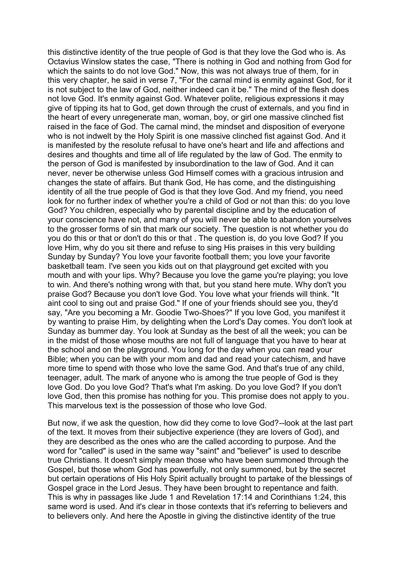this distinctive identity of the true people of God is that they love the God who is. As Octavius Winslow states the case, "There is nothing in God and nothing from God for which the saints to do not love God." Now, this was not always true of them, for in this very chapter, he said in verse 7, "For the carnal mind is enmity against God, for it is not subject to the law of God, neither indeed can it be." The mind of the flesh does not love God. It's enmity against God. Whatever polite, religious expressions it may give of tipping its hat to God, get down through the crust of externals, and you find in the heart of every unregenerate man, woman, boy, or girl one massive clinched fist raised in the face of God. The carnal mind, the mindset and disposition of everyone who is not indwelt by the Holy Spirit is one massive clinched fist against God. And it is manifested by the resolute refusal to have one's heart and life and affections and desires and thoughts and time all of life regulated by the law of God. The enmity to the person of God is manifested by insubordination to the law of God. And it can never, never be otherwise unless God Himself comes with a gracious intrusion and changes the state of affairs. But thank God, He has come, and the distinguishing identity of all the true people of God is that they love God. And my friend, you need look for no further index of whether you're a child of God or not than this: do you love God? You children, especially who by parental discipline and by the education of your conscience have not, and many of you will never be able to abandon yourselves to the grosser forms of sin that mark our society. The question is not whether you do you do this or that or don't do this or that . The question is, do you love God? If you love Him, why do you sit there and refuse to sing His praises in this very building Sunday by Sunday? You love your favorite football them; you love your favorite basketball team. I've seen you kids out on that playground get excited with you mouth and with your lips. Why? Because you love the game you're playing; you love to win. And there's nothing wrong with that, but you stand here mute. Why don't you praise God? Because you don't love God. You love what your friends will think. "It aint cool to sing out and praise God." If one of your friends should see you, they'd say, "Are you becoming a Mr. Goodie Two-Shoes?" If you love God, you manifest it by wanting to praise Him, by delighting when the Lord's Day comes. You don't look at Sunday as bummer day. You look at Sunday as the best of all the week; you can be in the midst of those whose mouths are not full of language that you have to hear at the school and on the playground. You long for the day when you can read your Bible; when you can be with your mom and dad and read your catechism, and have more time to spend with those who love the same God. And that's true of any child, teenager, adult. The mark of anyone who is among the true people of God is they love God. Do you love God? That's what I'm asking. Do you love God? If you don't love God, then this promise has nothing for you. This promise does not apply to you. This marvelous text is the possession of those who love God.

But now, if we ask the question, how did they come to love God?--look at the last part of the text. It moves from their subjective experience (they are lovers of God), and they are described as the ones who are the called according to purpose. And the word for "called" is used in the same way "saint" and "believer" is used to describe true Christians. It doesn't simply mean those who have been summoned through the Gospel, but those whom God has powerfully, not only summoned, but by the secret but certain operations of His Holy Spirit actually brought to partake of the blessings of Gospel grace in the Lord Jesus. They have been brought to repentance and faith. This is why in passages like Jude 1 and Revelation 17:14 and Corinthians 1:24, this same word is used. And it's clear in those contexts that it's referring to believers and to believers only. And here the Apostle in giving the distinctive identity of the true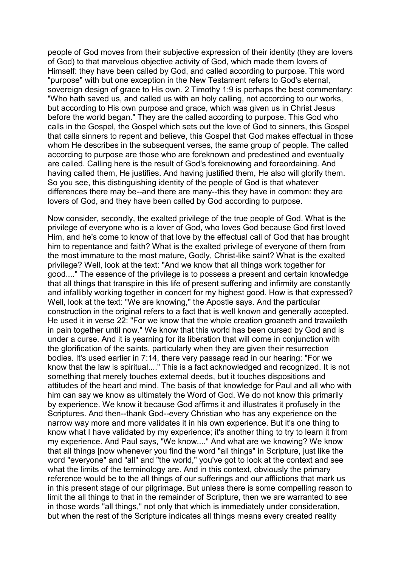people of God moves from their subjective expression of their identity (they are lovers of God) to that marvelous objective activity of God, which made them lovers of Himself: they have been called by God, and called according to purpose. This word "purpose" with but one exception in the New Testament refers to God's eternal, sovereign design of grace to His own. 2 Timothy 1:9 is perhaps the best commentary: "Who hath saved us, and called us with an holy calling, not according to our works, but according to His own purpose and grace, which was given us in Christ Jesus before the world began." They are the called according to purpose. This God who calls in the Gospel, the Gospel which sets out the love of God to sinners, this Gospel that calls sinners to repent and believe, this Gospel that God makes effectual in those whom He describes in the subsequent verses, the same group of people. The called according to purpose are those who are foreknown and predestined and eventually are called. Calling here is the result of God's foreknowing and foreordaining. And having called them, He justifies. And having justified them, He also will glorify them. So you see, this distinguishing identity of the people of God is that whatever differences there may be--and there are many--this they have in common: they are lovers of God, and they have been called by God according to purpose.

Now consider, secondly, the exalted privilege of the true people of God. What is the privilege of everyone who is a lover of God, who loves God because God first loved Him, and he's come to know of that love by the effectual call of God that has brought him to repentance and faith? What is the exalted privilege of everyone of them from the most immature to the most mature, Godly, Christ-like saint? What is the exalted privilege? Well, look at the text: "And we know that all things work together for good...." The essence of the privilege is to possess a present and certain knowledge that all things that transpire in this life of present suffering and infirmity are constantly and infallibly working together in concert for my highest good. How is that expressed? Well, look at the text: "We are knowing," the Apostle says. And the particular construction in the original refers to a fact that is well known and generally accepted. He used it in verse 22: "For we know that the whole creation groaneth and travaileth in pain together until now." We know that this world has been cursed by God and is under a curse. And it is yearning for its liberation that will come in conjunction with the glorification of the saints, particularly when they are given their resurrection bodies. It's used earlier in 7:14, there very passage read in our hearing: "For we know that the law is spiritual...." This is a fact acknowledged and recognized. It is not something that merely touches external deeds, but it touches dispositions and attitudes of the heart and mind. The basis of that knowledge for Paul and all who with him can say we know as ultimately the Word of God. We do not know this primarily by experience. We know it because God affirms it and illustrates it profusely in the Scriptures. And then--thank God--every Christian who has any experience on the narrow way more and more validates it in his own experience. But it's one thing to know what I have validated by my experience; it's another thing to try to learn it from my experience. And Paul says, "We know...." And what are we knowing? We know that all things [now whenever you find the word "all things" in Scripture, just like the word "everyone" and "all" and "the world," you've got to look at the context and see what the limits of the terminology are. And in this context, obviously the primary reference would be to the all things of our sufferings and our afflictions that mark us in this present stage of our pilgrimage. But unless there is some compelling reason to limit the all things to that in the remainder of Scripture, then we are warranted to see in those words "all things," not only that which is immediately under consideration, but when the rest of the Scripture indicates all things means every created reality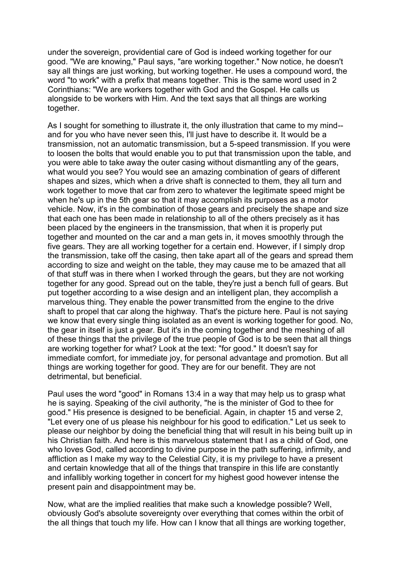under the sovereign, providential care of God is indeed working together for our good. "We are knowing," Paul says, "are working together." Now notice, he doesn't say all things are just working, but working together. He uses a compound word, the word "to work" with a prefix that means together. This is the same word used in 2 Corinthians: "We are workers together with God and the Gospel. He calls us alongside to be workers with Him. And the text says that all things are working together.

As I sought for something to illustrate it, the only illustration that came to my mind- and for you who have never seen this, I'll just have to describe it. It would be a transmission, not an automatic transmission, but a 5-speed transmission. If you were to loosen the bolts that would enable you to put that transmission upon the table, and you were able to take away the outer casing without dismantling any of the gears, what would you see? You would see an amazing combination of gears of different shapes and sizes, which when a drive shaft is connected to them, they all turn and work together to move that car from zero to whatever the legitimate speed might be when he's up in the 5th gear so that it may accomplish its purposes as a motor vehicle. Now, it's in the combination of those gears and precisely the shape and size that each one has been made in relationship to all of the others precisely as it has been placed by the engineers in the transmission, that when it is properly put together and mounted on the car and a man gets in, it moves smoothly through the five gears. They are all working together for a certain end. However, if I simply drop the transmission, take off the casing, then take apart all of the gears and spread them according to size and weight on the table, they may cause me to be amazed that all of that stuff was in there when I worked through the gears, but they are not working together for any good. Spread out on the table, they're just a bench full of gears. But put together according to a wise design and an intelligent plan, they accomplish a marvelous thing. They enable the power transmitted from the engine to the drive shaft to propel that car along the highway. That's the picture here. Paul is not saying we know that every single thing isolated as an event is working together for good. No, the gear in itself is just a gear. But it's in the coming together and the meshing of all of these things that the privilege of the true people of God is to be seen that all things are working together for what? Look at the text: "for good." It doesn't say for immediate comfort, for immediate joy, for personal advantage and promotion. But all things are working together for good. They are for our benefit. They are not detrimental, but beneficial.

Paul uses the word "good" in Romans 13:4 in a way that may help us to grasp what he is saying. Speaking of the civil authority, "he is the minister of God to thee for good." His presence is designed to be beneficial. Again, in chapter 15 and verse 2, "Let every one of us please his neighbour for his good to edification." Let us seek to please our neighbor by doing the beneficial thing that will result in his being built up in his Christian faith. And here is this marvelous statement that I as a child of God, one who loves God, called according to divine purpose in the path suffering, infirmity, and affliction as I make my way to the Celestial City, it is my privilege to have a present and certain knowledge that all of the things that transpire in this life are constantly and infallibly working together in concert for my highest good however intense the present pain and disappointment may be.

Now, what are the implied realities that make such a knowledge possible? Well, obviously God's absolute sovereignty over everything that comes within the orbit of the all things that touch my life. How can I know that all things are working together,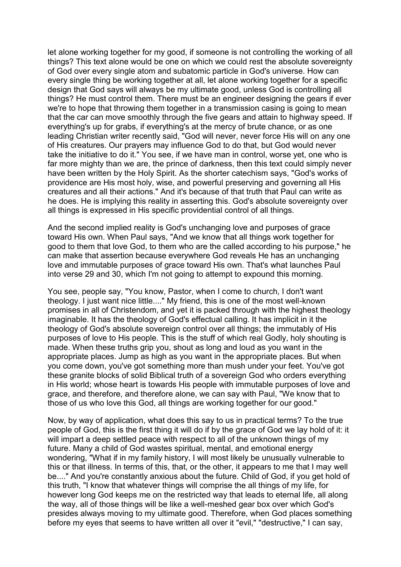let alone working together for my good, if someone is not controlling the working of all things? This text alone would be one on which we could rest the absolute sovereignty of God over every single atom and subatomic particle in God's universe. How can every single thing be working together at all, let alone working together for a specific design that God says will always be my ultimate good, unless God is controlling all things? He must control them. There must be an engineer designing the gears if ever we're to hope that throwing them together in a transmission casing is going to mean that the car can move smoothly through the five gears and attain to highway speed. If everything's up for grabs, if everything's at the mercy of brute chance, or as one leading Christian writer recently said, "God will never, never force His will on any one of His creatures. Our prayers may influence God to do that, but God would never take the initiative to do it." You see, if we have man in control, worse yet, one who is far more mighty than we are, the prince of darkness, then this text could simply never have been written by the Holy Spirit. As the shorter catechism says, "God's works of providence are His most holy, wise, and powerful preserving and governing all His creatures and all their actions." And it's because of that truth that Paul can write as he does. He is implying this reality in asserting this. God's absolute sovereignty over all things is expressed in His specific providential control of all things.

And the second implied reality is God's unchanging love and purposes of grace toward His own. When Paul says, "And we know that all things work together for good to them that love God, to them who are the called according to his purpose," he can make that assertion because everywhere God reveals He has an unchanging love and immutable purposes of grace toward His own. That's what launches Paul into verse 29 and 30, which I'm not going to attempt to expound this morning.

You see, people say, "You know, Pastor, when I come to church, I don't want theology. I just want nice little...." My friend, this is one of the most well-known promises in all of Christendom, and yet it is packed through with the highest theology imaginable. It has the theology of God's effectual calling. It has implicit in it the theology of God's absolute sovereign control over all things; the immutably of His purposes of love to His people. This is the stuff of which real Godly, holy shouting is made. When these truths grip you, shout as long and loud as you want in the appropriate places. Jump as high as you want in the appropriate places. But when you come down, you've got something more than mush under your feet. You've got these granite blocks of solid Biblical truth of a sovereign God who orders everything in His world; whose heart is towards His people with immutable purposes of love and grace, and therefore, and therefore alone, we can say with Paul, "We know that to those of us who love this God, all things are working together for our good."

Now, by way of application, what does this say to us in practical terms? To the true people of God, this is the first thing it will do if by the grace of God we lay hold of it: it will impart a deep settled peace with respect to all of the unknown things of my future. Many a child of God wastes spiritual, mental, and emotional energy wondering, "What if in my family history, I will most likely be unusually vulnerable to this or that illness. In terms of this, that, or the other, it appears to me that I may well be...." And you're constantly anxious about the future. Child of God, if you get hold of this truth, "I know that whatever things will comprise the all things of my life, for however long God keeps me on the restricted way that leads to eternal life, all along the way, all of those things will be like a well-meshed gear box over which God's presides always moving to my ultimate good. Therefore, when God places something before my eyes that seems to have written all over it "evil," "destructive," I can say,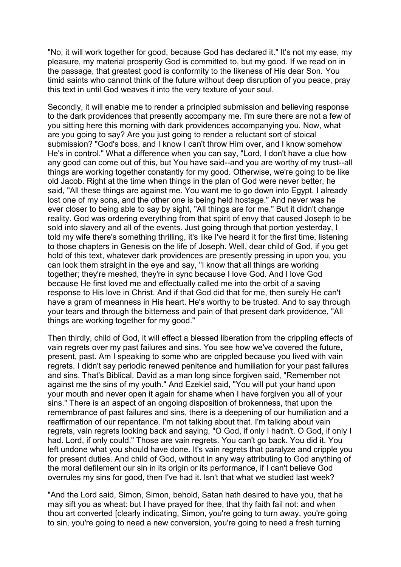"No, it will work together for good, because God has declared it." It's not my ease, my pleasure, my material prosperity God is committed to, but my good. If we read on in the passage, that greatest good is conformity to the likeness of His dear Son. You timid saints who cannot think of the future without deep disruption of you peace, pray this text in until God weaves it into the very texture of your soul.

Secondly, it will enable me to render a principled submission and believing response to the dark providences that presently accompany me. I'm sure there are not a few of you sitting here this morning with dark providences accompanying you. Now, what are you going to say? Are you just going to render a reluctant sort of stoical submission? "God's boss, and I know I can't throw Him over, and I know somehow He's in control." What a difference when you can say, "Lord, I don't have a clue how any good can come out of this, but You have said--and you are worthy of my trust--all things are working together constantly for my good. Otherwise, we're going to be like old Jacob. Right at the time when things in the plan of God were never better, he said, "All these things are against me. You want me to go down into Egypt. I already lost one of my sons, and the other one is being held hostage." And never was he ever closer to being able to say by sight, "All things are for me." But it didn't change reality. God was ordering everything from that spirit of envy that caused Joseph to be sold into slavery and all of the events. Just going through that portion yesterday, I told my wife there's something thrilling, it's like I've heard it for the first time, listening to those chapters in Genesis on the life of Joseph. Well, dear child of God, if you get hold of this text, whatever dark providences are presently pressing in upon you, you can look them straight in the eye and say, "I know that all things are working together; they're meshed, they're in sync because I love God. And I love God because He first loved me and effectually called me into the orbit of a saving response to His love in Christ. And if that God did that for me, then surely He can't have a gram of meanness in His heart. He's worthy to be trusted. And to say through your tears and through the bitterness and pain of that present dark providence, "All things are working together for my good."

Then thirdly, child of God, it will effect a blessed liberation from the crippling effects of vain regrets over my past failures and sins. You see how we've covered the future, present, past. Am I speaking to some who are crippled because you lived with vain regrets. I didn't say periodic renewed penitence and humiliation for your past failures and sins. That's Biblical. David as a man long since forgiven said, "Remember not against me the sins of my youth." And Ezekiel said, "You will put your hand upon your mouth and never open it again for shame when I have forgiven you all of your sins." There is an aspect of an ongoing disposition of brokenness, that upon the remembrance of past failures and sins, there is a deepening of our humiliation and a reaffirmation of our repentance. I'm not talking about that. I'm talking about vain regrets, vain regrets looking back and saying, "O God, if only I hadn't. O God, if only I had. Lord, if only could." Those are vain regrets. You can't go back. You did it. You left undone what you should have done. It's vain regrets that paralyze and cripple you for present duties. And child of God, without in any way attributing to God anything of the moral defilement our sin in its origin or its performance, if I can't believe God overrules my sins for good, then I've had it. Isn't that what we studied last week?

"And the Lord said, Simon, Simon, behold, Satan hath desired to have you, that he may sift you as wheat: but I have prayed for thee, that thy faith fail not: and when thou art converted [clearly indicating, Simon, you're going to turn away, you're going to sin, you're going to need a new conversion, you're going to need a fresh turning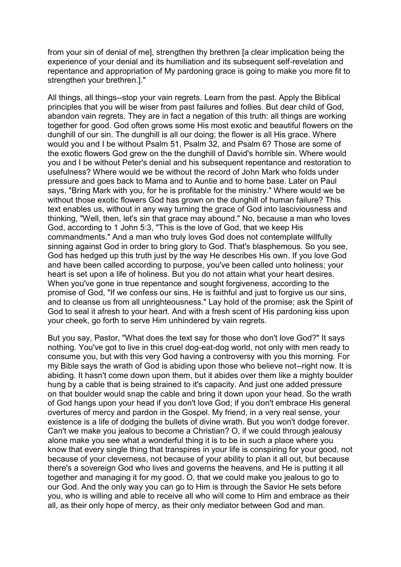from your sin of denial of me], strengthen thy brethren [a clear implication being the experience of your denial and its humiliation and its subsequent self-revelation and repentance and appropriation of My pardoning grace is going to make you more fit to strengthen your brethren.]."

All things, all things--stop your vain regrets. Learn from the past. Apply the Biblical principles that you will be wiser from past failures and follies. But dear child of God, abandon vain regrets. They are in fact a negation of this truth: all things are working together for good. God often grows some His most exotic and beautiful flowers on the dunghill of our sin. The dunghill is all our doing; the flower is all His grace. Where would you and I be without Psalm 51, Psalm 32, and Psalm 6? Those are some of the exotic flowers God grew on the the dunghill of David's horrible sin. Where would you and I be without Peter's denial and his subsequent repentance and restoration to usefulness? Where would we be without the record of John Mark who folds under pressure and goes back to Mama and to Auntie and to home base. Later on Paul says, "Bring Mark with you, for he is profitable for the ministry." Where would we be without those exotic flowers God has grown on the dunghill of human failure? This text enables us, without in any way turning the grace of God into lasciviousness and thinking, "Well, then, let's sin that grace may abound." No, because a man who loves God, according to 1 John 5:3, "This is the love of God, that we keep His commandments." And a man who truly loves God does not contemplate willfully sinning against God in order to bring glory to God. That's blasphemous. So you see, God has hedged up this truth just by the way He describes His own. If you love God and have been called according to purpose, you've been called unto holiness; your heart is set upon a life of holiness. But you do not attain what your heart desires. When you've gone in true repentance and sought forgiveness, according to the promise of God, "If we confess our sins, He is faithful and just to forgive us our sins, and to cleanse us from all unrighteousness." Lay hold of the promise; ask the Spirit of God to seal it afresh to your heart. And with a fresh scent of His pardoning kiss upon your cheek, go forth to serve Him unhindered by vain regrets.

But you say, Pastor, "What does the text say for those who don't love God?" It says nothing. You've got to live in this cruel dog-eat-dog world, not only with men ready to consume you, but with this very God having a controversy with you this morning. For my Bible says the wrath of God is abiding upon those who believe not--right now. It is abiding. It hasn't come down upon them, but it abides over them like a mighty boulder hung by a cable that is being strained to it's capacity. And just one added pressure on that boulder would snap the cable and bring it down upon your head. So the wrath of God hangs upon your head if you don't love God; if you don't embrace His general overtures of mercy and pardon in the Gospel. My friend, in a very real sense, your existence is a life of dodging the bullets of divine wrath. But you won't dodge forever. Can't we make you jealous to become a Christian? O, if we could through jealousy alone make you see what a wonderful thing it is to be in such a place where you know that every single thing that transpires in your life is conspiring for your good, not because of your cleverness, not because of your ability to plan it all out, but because there's a sovereign God who lives and governs the heavens, and He is putting it all together and managing it for my good. O, that we could make you jealous to go to our God. And the only way you can go to Him is through the Savior He sets before you, who is willing and able to receive all who will come to Him and embrace as their all, as their only hope of mercy, as their only mediator between God and man.